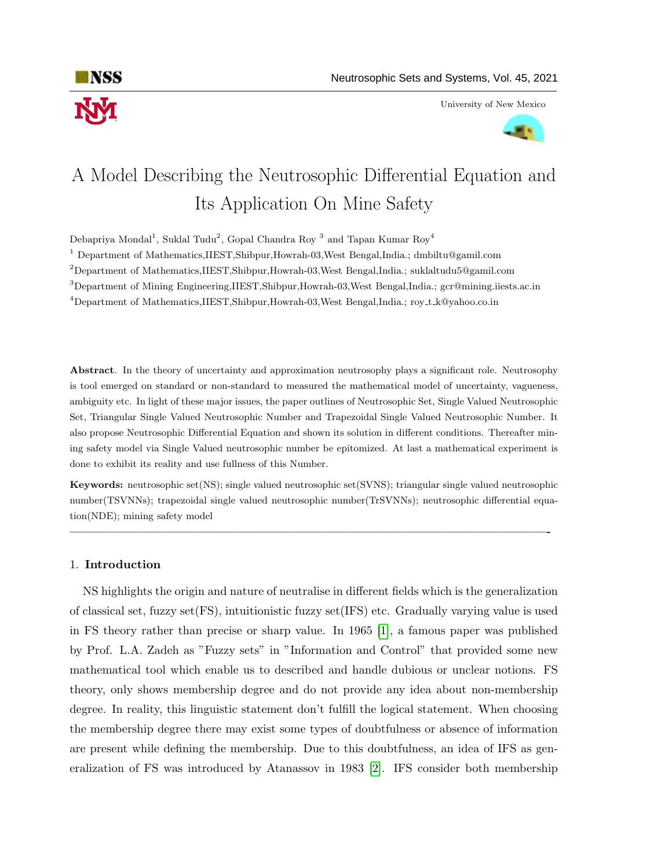

University of New Mexico



# A Model Describing the Neutrosophic Differential Equation and Its Application On Mine Safety

Debapriya Mondal<sup>1</sup>, Suklal Tudu<sup>2</sup>, Gopal Chandra Roy<sup>3</sup> and Tapan Kumar Roy<sup>4</sup>

<sup>1</sup> Department of Mathematics,IIEST,Shibpur,Howrah-03,West Bengal,India.; dmbiltu@gamil.com

 $2$ Department of Mathematics,IIEST,Shibpur,Howrah-03,West Bengal,India.; suklaltudu5@gamil.com

<sup>3</sup>Department of Mining Engineering,IIEST,Shibpur,Howrah-03,West Bengal,India.; gcr@mining.iiests.ac.in

<sup>4</sup>Department of Mathematics,IIEST,Shibpur,Howrah-03,West Bengal,India.; roy t k@yahoo.co.in

Abstract. In the theory of uncertainty and approximation neutrosophy plays a significant role. Neutrosophy is tool emerged on standard or non-standard to measured the mathematical model of uncertainty, vagueness, ambiguity etc. In light of these major issues, the paper outlines of Neutrosophic Set, Single Valued Neutrosophic Set, Triangular Single Valued Neutrosophic Number and Trapezoidal Single Valued Neutrosophic Number. It also propose Neutrosophic Differential Equation and shown its solution in different conditions. Thereafter mining safety model via Single Valued neutrosophic number be epitomized. At last a mathematical experiment is done to exhibit its reality and use fullness of this Number.

Keywords: neutrosophic set(NS); single valued neutrosophic set(SVNS); triangular single valued neutrosophic number(TSVNNs); trapezoidal single valued neutrosophic number(TrSVNNs); neutrosophic differential equation(NDE); mining safety model

—————————————————————————————————————————-

#### 1. Introduction

NS highlights the origin and nature of neutralise in different fields which is the generalization of classical set, fuzzy set(FS), intuitionistic fuzzy set(IFS) etc. Gradually varying value is used in FS theory rather than precise or sharp value. In 1965 [\[1\]](#page-14-0), a famous paper was published by Prof. L.A. Zadeh as "Fuzzy sets" in "Information and Control" that provided some new mathematical tool which enable us to described and handle dubious or unclear notions. FS theory, only shows membership degree and do not provide any idea about non-membership degree. In reality, this linguistic statement don't fulfill the logical statement. When choosing the membership degree there may exist some types of doubtfulness or absence of information are present while defining the membership. Due to this doubtfulness, an idea of IFS as generalization of FS was introduced by Atanassov in 1983 [\[2\]](#page-14-1). IFS consider both membership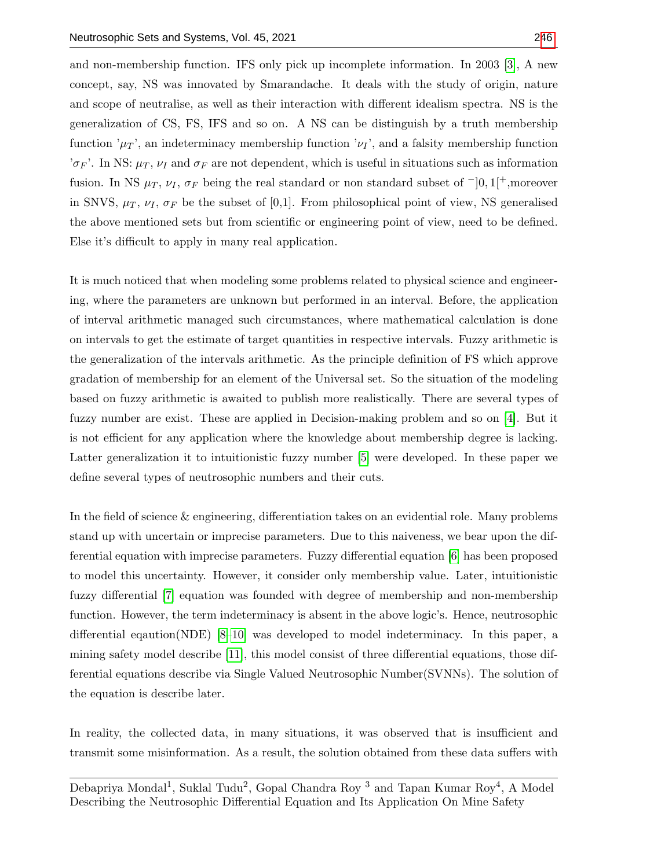and non-membership function. IFS only pick up incomplete information. In 2003 [\[3\]](#page-14-2), A new concept, say, NS was innovated by Smarandache. It deals with the study of origin, nature and scope of neutralise, as well as their interaction with different idealism spectra. NS is the generalization of CS, FS, IFS and so on. A NS can be distinguish by a truth membership function  $\mu_T$ , an indeterminacy membership function  $\nu_I$ , and a falsity membership function ' $\sigma_F$ '. In NS:  $\mu_T$ ,  $\nu_I$  and  $\sigma_F$  are not dependent, which is useful in situations such as information fusion. In NS  $\mu_T$ ,  $\nu_I$ ,  $\sigma_F$  being the real standard or non standard subset of  $\neg$ [0, 1[ $\neg$ <sub>1</sub>, moreover in SNVS,  $\mu_T$ ,  $\nu_I$ ,  $\sigma_F$  be the subset of [0,1]. From philosophical point of view, NS generalised the above mentioned sets but from scientific or engineering point of view, need to be defined. Else it's difficult to apply in many real application.

It is much noticed that when modeling some problems related to physical science and engineering, where the parameters are unknown but performed in an interval. Before, the application of interval arithmetic managed such circumstances, where mathematical calculation is done on intervals to get the estimate of target quantities in respective intervals. Fuzzy arithmetic is the generalization of the intervals arithmetic. As the principle definition of FS which approve gradation of membership for an element of the Universal set. So the situation of the modeling based on fuzzy arithmetic is awaited to publish more realistically. There are several types of fuzzy number are exist. These are applied in Decision-making problem and so on [\[4\]](#page-14-3). But it is not efficient for any application where the knowledge about membership degree is lacking. Latter generalization it to intuitionistic fuzzy number [\[5\]](#page-14-4) were developed. In these paper we define several types of neutrosophic numbers and their cuts.

In the field of science & engineering, differentiation takes on an evidential role. Many problems stand up with uncertain or imprecise parameters. Due to this naiveness, we bear upon the differential equation with imprecise parameters. Fuzzy differential equation [\[6\]](#page-14-5) has been proposed to model this uncertainty. However, it consider only membership value. Later, intuitionistic fuzzy differential [\[7\]](#page-14-6) equation was founded with degree of membership and non-membership function. However, the term indeterminacy is absent in the above logic's. Hence, neutrosophic differential eqaution(NDE) [\[8](#page-14-7)[–10\]](#page-14-8) was developed to model indeterminacy. In this paper, a mining safety model describe [\[11\]](#page-14-9), this model consist of three differential equations, those differential equations describe via Single Valued Neutrosophic Number(SVNNs). The solution of the equation is describe later.

In reality, the collected data, in many situations, it was observed that is insufficient and transmit some misinformation. As a result, the solution obtained from these data suffers with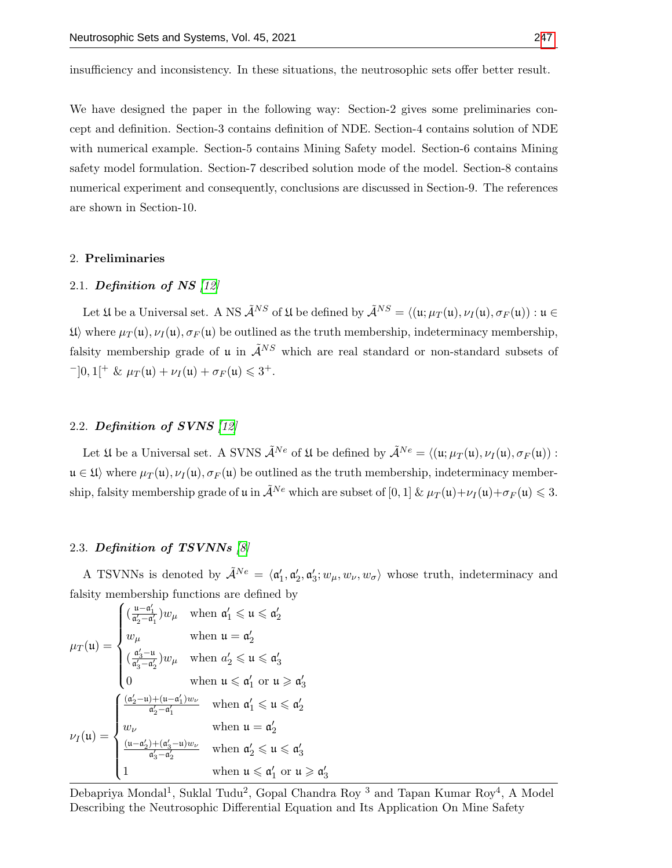insufficiency and inconsistency. In these situations, the neutrosophic sets offer better result.

We have designed the paper in the following way: Section-2 gives some preliminaries concept and definition. Section-3 contains definition of NDE. Section-4 contains solution of NDE with numerical example. Section-5 contains Mining Safety model. Section-6 contains Mining safety model formulation. Section-7 described solution mode of the model. Section-8 contains numerical experiment and consequently, conclusions are discussed in Section-9. The references are shown in Section-10.

#### 2. Preliminaries

#### 2.1. Definition of NS  $[12]$

Let  $\mathfrak U$  be a Universal set. A NS  $\tilde{\mathcal A}^{NS}$  of  $\mathfrak U$  be defined by  $\tilde{\mathcal A}^{NS} = \langle (\mathfrak u; \mu_T (\mathfrak u), \nu_I (\mathfrak u), \sigma_F (\mathfrak u)) : \mathfrak u \in$  $\mathfrak{U}$  where  $\mu_T(\mathfrak{u}), \nu_I(\mathfrak{u}), \sigma_F(\mathfrak{u})$  be outlined as the truth membership, indeterminacy membership, falsity membership grade of u in  $\tilde{\mathcal{A}}^{NS}$  which are real standard or non-standard subsets of  $^{-}[0,1[^{+} \& \mu_T(\mathfrak{u}) + \nu_I(\mathfrak{u}) + \sigma_F(\mathfrak{u}) \leq 3^+.$ 

#### 2.2. Definition of SVNS [\[12\]](#page-14-10)

Let  $\mathfrak U$  be a Universal set. A SVNS  $\tilde{\mathcal A}^{Ne}$  of  $\mathfrak U$  be defined by  $\tilde{\mathcal A}^{Ne} = \langle (\mathfrak u; \mu_T(\mathfrak u), \nu_I(\mathfrak u), \sigma_F(\mathfrak u)) :$  $u \in \mathfrak{U}$  where  $\mu_{\mathcal{T}}(u), \nu_{\mathcal{T}}(u), \sigma_{\mathcal{F}}(u)$  be outlined as the truth membership, indeterminacy membership, falsity membership grade of u in  $\tilde{\mathcal{A}}^{Ne}$  which are subset of [0, 1]  $\& \mu_T(\mathfrak{u}) + \nu_I(\mathfrak{u}) + \sigma_F(\mathfrak{u}) \leq 3$ .

#### 2.3. Definition of TSVNNs [\[8\]](#page-14-7)

A TSVNNs is denoted by  $\tilde{\mathcal{A}}^{Ne} = \langle \mathfrak{a}'_1, \mathfrak{a}'_2, \mathfrak{a}'_3; w_\mu, w_\nu, w_\sigma \rangle$  whose truth, indeterminacy and falsity membership functions are defined by

$$
\mu_T(\mathfrak{u}) = \begin{cases}\n(\frac{\mathfrak{u} - \mathfrak{a}'_1}{\mathfrak{a}'_2 - \mathfrak{a}'_1})w_\mu & \text{when } \mathfrak{a}'_1 \leq \mathfrak{u} \leq \mathfrak{a}'_2 \\
w_\mu & \text{when } \mathfrak{u} = \mathfrak{a}'_2 \\
(\frac{\mathfrak{a}'_3 - \mathfrak{u}}{\mathfrak{a}'_3 - \mathfrak{a}'_2})w_\mu & \text{when } \mathfrak{a}'_2 \leq \mathfrak{u} \leq \mathfrak{a}'_3 \\
0 & \text{when } \mathfrak{u} \leq \mathfrak{a}'_1 \text{ or } \mathfrak{u} \geq \mathfrak{a}'_3 \\
\frac{(\mathfrak{a}'_2 - \mathfrak{u}) + (\mathfrak{u} - \mathfrak{a}'_1)w_\nu}{\mathfrak{a}'_2 - \mathfrak{a}'_1} & \text{when } \mathfrak{a}'_1 \leq \mathfrak{u} \leq \mathfrak{a}'_2 \\
w_\nu & \text{when } \mathfrak{u} = \mathfrak{a}'_2 \\
\frac{(\mathfrak{u} - \mathfrak{a}'_2) + (\mathfrak{a}'_3 - \mathfrak{u})w_\nu}{\mathfrak{a}'_3 - \mathfrak{a}'_2} & \text{when } \mathfrak{a}'_2 \leq \mathfrak{u} \leq \mathfrak{a}'_3 \\
1 & \text{when } \mathfrak{u} \leq \mathfrak{a}'_1 \text{ or } \mathfrak{u} \geq \mathfrak{a}\n\end{cases}
$$

Debapriya Mondal<sup>1</sup>, Suklal Tudu<sup>2</sup>, Gopal Chandra Roy<sup>3</sup> and Tapan Kumar Roy<sup>4</sup>, A Model Describing the Neutrosophic Differential Equation and Its Application On Mine Safety

 $\frac{1}{3}$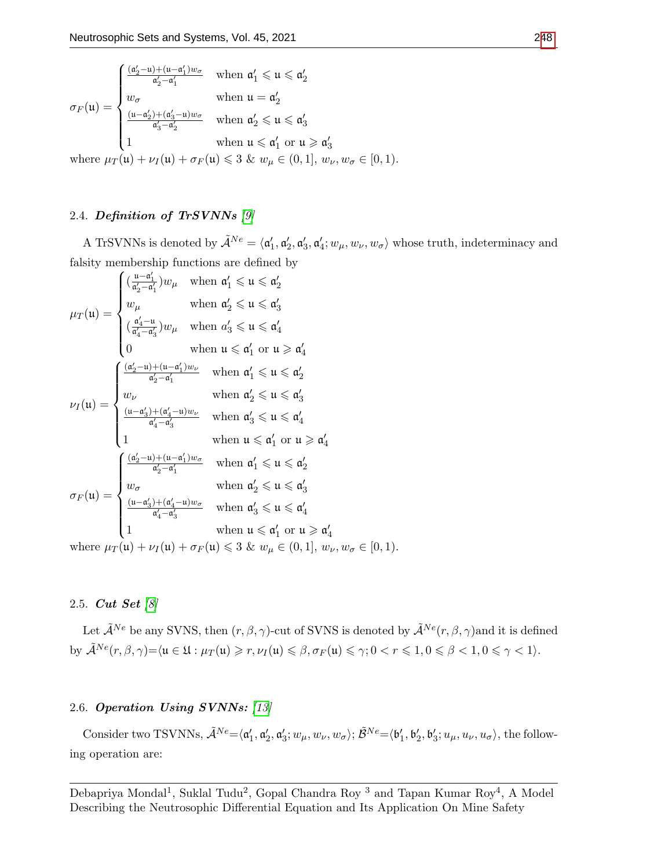$$
\sigma_F(\mathfrak{u}) = \begin{cases}\n\frac{(\mathfrak{a}_2' - \mathfrak{u}) + (\mathfrak{u} - \mathfrak{a}_1')w_{\sigma}}{\mathfrak{a}_2' - \mathfrak{a}_1'} & \text{when } \mathfrak{a}_1' \leq \mathfrak{u} \leq \mathfrak{a}_2' \\
w_{\sigma} & \text{when } \mathfrak{u} = \mathfrak{a}_2' \\
\frac{(\mathfrak{u} - \mathfrak{a}_2') + (\mathfrak{a}_3' - \mathfrak{u})w_{\sigma}}{\mathfrak{a}_3' - \mathfrak{a}_2'} & \text{when } \mathfrak{a}_2' \leq \mathfrak{u} \leq \mathfrak{a}_3' \\
1 & \text{when } \mathfrak{u} \leq \mathfrak{a}_1' \text{ or } \mathfrak{u} \geq \mathfrak{a}_3' \\
\text{where } \mu_F(\mathfrak{u}) + \mu_F(\mathfrak{u}) + \sigma_F(\mathfrak{u}) < 3 \quad \text{for } \mathfrak{u} \in (0, 1], \quad \text{for } \mathfrak{u} \in [0, 1)\n\end{cases}
$$

where  $\mu_T(\mathfrak{u}) + \nu_I(\mathfrak{u}) + \sigma_F(\mathfrak{u}) \leq 3$  &  $w_\mu \in (0,1], w_\nu, w_\sigma \in [0,1)$ .

# 2.4. Definition of TrSVNNs [\[9\]](#page-14-11)

A TrSVNNs is denoted by  $\tilde{\mathcal{A}}^{Ne} = \langle \mathfrak{a}'_1, \mathfrak{a}'_2, \mathfrak{a}'_3, \mathfrak{a}'_4; w_\mu, w_\nu, w_\sigma \rangle$  whose truth, indeterminacy and falsity membership functions are defined by

$$
\mu_T(\mathfrak{u}) = \begin{cases}\n(\frac{\mathfrak{u} - \mathfrak{a}'_1}{\mathfrak{a}'_2 - \mathfrak{a}'_1})w_\mu & \text{when } \mathfrak{a}'_1 \leq \mathfrak{u} \leq \mathfrak{a}'_2 \\
w_\mu & \text{when } \mathfrak{a}'_2 \leq \mathfrak{u} \leq \mathfrak{a}'_3 \\
(\frac{\mathfrak{a}'_4 - \mathfrak{u}}{\mathfrak{a}'_4 - \mathfrak{a}'_3})w_\mu & \text{when } \mathfrak{a}'_3 \leq \mathfrak{u} \leq \mathfrak{a}'_4 \\
0 & \text{when } \mathfrak{u} \leq \mathfrak{a}'_1 \text{ or } \mathfrak{u} \geq \mathfrak{a}'_4\n\end{cases}
$$
\n
$$
\nu_I(\mathfrak{u}) = \begin{cases}\n\frac{(\mathfrak{a}'_2 - \mathfrak{u}) + (\mathfrak{u} - \mathfrak{a}'_1)w_\nu}{\mathfrak{a}'_2 - \mathfrak{a}'_1} & \text{when } \mathfrak{a}'_1 \leq \mathfrak{u} \leq \mathfrak{a}'_2 \\
w_\nu & \text{when } \mathfrak{a}'_1 \leq \mathfrak{u} \leq \mathfrak{a}'_2 \\
w_\nu & \text{when } \mathfrak{a}'_2 \leq \mathfrak{u} \leq \mathfrak{a}'_3 \\
\frac{(\mathfrak{u} - \mathfrak{a}'_3) + (\mathfrak{a}'_4 - \mathfrak{u})w_\nu}{\mathfrak{a}'_4 - \mathfrak{a}'_3} & \text{when } \mathfrak{a}'_3 \leq \mathfrak{u} \leq \mathfrak{a}'_4 \\
1 & \text{when } \mathfrak{u} \leq \mathfrak{a}'_1 \text{ or } \mathfrak{u} \geq \mathfrak{a}'_4 \\
\frac{(\mathfrak{a}'_2 - \mathfrak{u}) + (\mathfrak{u} - \mathfrak{a}'_1)w_\sigma}{\mathfrak{a}'_2 - \mathfrak{a}'_1} & \text{when } \mathfrak{a}'_1 \leq \mathfrak{u} \leq \mathfrak{a}'_2 \\
w_\sigma \\
\sigma_F(\mathfrak{u}) = \begin{cases}\n\frac{
$$

# 2.5. Cut Set [\[8\]](#page-14-7)

Let  $\tilde{\mathcal{A}}^{Ne}$  be any SVNS, then  $(r, \beta, \gamma)$ -cut of SVNS is denoted by  $\tilde{\mathcal{A}}^{Ne}(r, \beta, \gamma)$  and it is defined by  $\tilde{\mathcal{A}}^{Ne}(r, \beta, \gamma) = \langle \mathfrak{u} \in \mathfrak{U} : \mu_T(\mathfrak{u}) \geqslant r, \nu_I(\mathfrak{u}) \leqslant \beta, \sigma_F(\mathfrak{u}) \leqslant \gamma; 0 < r \leqslant 1, 0 \leqslant \beta < 1, 0 \leqslant \gamma < 1 \rangle.$ 

# 2.6. Operation Using SVNNs: [\[13\]](#page-14-12)

Consider two TSVNNs,  $\tilde{\mathcal{A}}^{Ne} = \langle \mathfrak{a}'_1, \mathfrak{a}'_2, \mathfrak{a}'_3; w_\mu, w_\nu, w_\sigma \rangle; \tilde{\mathcal{B}}^{Ne} = \langle \mathfrak{b}'_1, \mathfrak{b}'_2, \mathfrak{b}'_3; u_\mu, u_\nu, u_\sigma \rangle$ , the following operation are: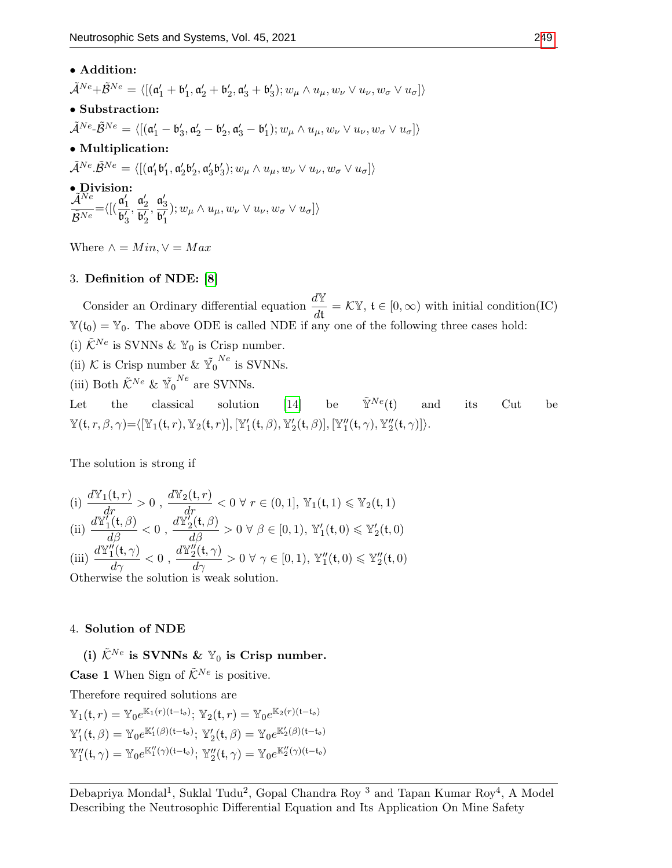### • Addition:

 $\tilde{\mathcal{A}}^{Ne}+\tilde{\mathcal{B}}^{Ne}=\langle[(\mathfrak{a}_1'+\mathfrak{b}_1',\mathfrak{a}_2'+\mathfrak{b}_2',\mathfrak{a}_3'+\mathfrak{b}_3');w_{\mu}\wedge u_{\mu},w_{\nu}\vee u_{\nu},w_{\sigma}\vee u_{\sigma}]\rangle$ 

- Substraction:
- $\tilde{\mathcal{A}}^{Ne} \tilde{\mathcal{B}}^{Ne} = \langle [(\mathfrak{a}'_1 \mathfrak{b}'_3, \mathfrak{a}'_2 \mathfrak{b}'_2, \mathfrak{a}'_3 \mathfrak{b}'_1); w_{\mu} \wedge u_{\mu}, w_{\nu} \vee u_{\nu}, w_{\sigma} \vee u_{\sigma}]\rangle$
- Multiplication:
- $\tilde{\mathcal{A}}^{Ne}.\tilde{\mathcal{B}}^{Ne}=\langle[(\mathfrak{a}'_1\mathfrak{b}'_1,\mathfrak{a}'_2\mathfrak{b}'_2,\mathfrak{a}'_3\mathfrak{b}'_3); w_{\mu}\wedge u_{\mu},w_{\nu}\vee u_{\nu},w_{\sigma}\vee u_{\sigma}]\rangle$

• Division:  $\mathcal{\widetilde{A}^{Ne}}$  $\tilde{\mathcal{B}}^{Ne}$  $=\langle \big[(\frac{\mathfrak{a}'_1}{\sqrt{2}}\big]$  $\overline{\mathfrak{b}_3'}$  $\frac{\mathfrak{a}'_2}{\mathfrak{a}'_2}$  $\overline{\mathfrak{b}_2'}$  $\frac{\mathfrak{a}'_3}{\mathfrak{a}'_2}$  $\overline{\mathfrak{b}'_1}$  $\langle v, w_{\mu} \wedge u_{\mu}, w_{\nu} \vee u_{\nu}, w_{\sigma} \vee u_{\sigma} \rangle$ 

Where  $\wedge = Min, \vee = Max$ 

# 3. Definition of NDE: [\[8\]](#page-14-7)

Consider an Ordinary differential equation  $\frac{d\mathbb{Y}}{dt} = \mathcal{K}\mathbb{Y}$ ,  $\mathfrak{t} \in [0, \infty)$  with initial condition(IC)  $\mathbb{Y}(t_0) = \mathbb{Y}_0$ . The above ODE is called NDE if any one of the following three cases hold: (i)  $\tilde{\mathcal{K}}^{Ne}$  is SVNNs &  $\mathbb{Y}_0$  is Crisp number. (ii) K is Crisp number &  $\tilde{Y_0}^{Ne}$  is SVNNs. (iii) Both  $\tilde{\mathcal{K}}^{Ne}$  &  $\tilde{Y_0}^{Ne}$  are SVNNs.

Let the classical solution [\[14\]](#page-15-1) be  $\tilde{\mathbb{Y}}^{Ne}(\mathfrak{t})$  and its Cut be  $\mathbb{Y}(\mathfrak{t}, r, \beta, \gamma) = \langle [\mathbb{Y}_1(\mathfrak{t}, r), \mathbb{Y}_2(\mathfrak{t}, r)], [\mathbb{Y}_1'(\mathfrak{t}, \beta), \mathbb{Y}_2'(\mathfrak{t}, \beta)], [\mathbb{Y}_1''(\mathfrak{t}, \gamma), \mathbb{Y}_2''(\mathfrak{t}, \gamma)] \rangle.$ 

The solution is strong if

(i) 
$$
\frac{d\mathbb{Y}_1(\mathfrak{t},r)}{dr} > 0, \quad \frac{d\mathbb{Y}_2(\mathfrak{t},r)}{dr} < 0 \quad \forall \ r \in (0,1], \ \mathbb{Y}_1(\mathfrak{t},1) \leq \mathbb{Y}_2(\mathfrak{t},1)
$$
\n(ii) 
$$
\frac{d\mathbb{Y}_1'(\mathfrak{t},\beta)}{d\beta} < 0, \quad \frac{d\mathbb{Y}_2'(\mathfrak{t},\beta)}{d\beta} > 0 \quad \forall \ \beta \in [0,1), \ \mathbb{Y}_1'(\mathfrak{t},0) \leq \mathbb{Y}_2'(\mathfrak{t},0)
$$
\n(iii) 
$$
\frac{d\mathbb{Y}_1''(\mathfrak{t},\gamma)}{d\gamma} < 0, \quad \frac{d\mathbb{Y}_2''(\mathfrak{t},\gamma)}{d\gamma} > 0 \quad \forall \ \gamma \in [0,1), \ \mathbb{Y}_1''(\mathfrak{t},0) \leq \mathbb{Y}_2''(\mathfrak{t},0)
$$
\nOtherwise the solution is weak solution

Otherwise the solution is weak solution.

#### 4. Solution of NDE

(i)  $\tilde{\mathcal{K}}^{Ne}$  is SVNNs &  $\mathbb{Y}_0$  is Crisp number.

**Case 1** When Sign of  $\tilde{\mathcal{K}}^{Ne}$  is positive.

Therefore required solutions are

 $\mathbb{Y}_{1}(\mathfrak{t},r) = \mathbb{Y}_{0}e^{\mathbb{K}_{1}(r)(\mathfrak{t}-\mathfrak{t}_{\mathfrak{0}})}; \, \mathbb{Y}_{2}(\mathfrak{t},r) = \mathbb{Y}_{0}e^{\mathbb{K}_{2}(r)(\mathfrak{t}-\mathfrak{t}_{\mathfrak{0}})}$  $\mathbb{Y}'_1(\mathfrak{t}, \beta) = \mathbb{Y}_0 e^{\mathbb{K}'_1(\beta)(\mathfrak{t}-\mathfrak{t}_\mathfrak{o})}; \ \mathbb{Y}'_2(\mathfrak{t}, \beta) = \mathbb{Y}_0 e^{\mathbb{K}'_2(\beta)(\mathfrak{t}-\mathfrak{t}_\mathfrak{o})}$  $\mathbb{Y}''_1(\mathfrak{t}, \gamma) = \mathbb{Y}_0 e^{\mathbb{K}_1''(\gamma)(\mathfrak{t}-\mathfrak{t}_\mathfrak{o})}; \ \mathbb{Y}''_2(\mathfrak{t}, \gamma) = \mathbb{Y}_0 e^{\mathbb{K}_2''(\gamma)(\mathfrak{t}-\mathfrak{t}_\mathfrak{o})}$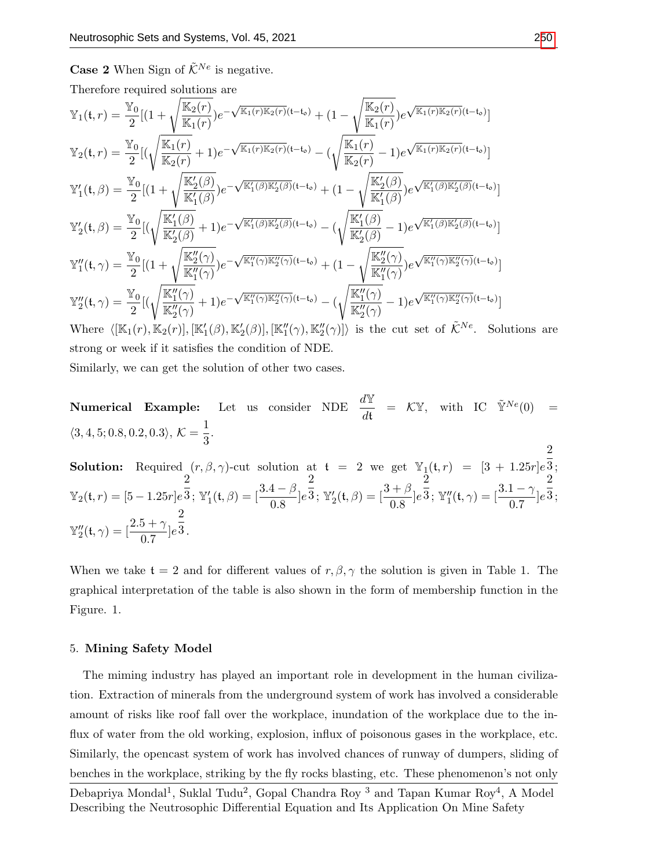**Case 2** When Sign of  $\tilde{\mathcal{K}}^{Ne}$  is negative.

Therefore required solutions are

$$
\mathbb{Y}_{1}(t,r) = \frac{\mathbb{Y}_{0}}{2}[(1+\sqrt{\frac{\mathbb{K}_{2}(r)}{\mathbb{K}_{1}(r)\mathbb{K}_{2}(r)}})e^{-\sqrt{\mathbb{K}_{1}(r)\mathbb{K}_{2}(r)}(t-t_{o})} + (1-\sqrt{\frac{\mathbb{K}_{2}(r)}{\mathbb{K}_{1}(r)}}e^{\sqrt{\mathbb{K}_{1}(r)\mathbb{K}_{2}(r)}(t-t_{o})}]
$$
\n
$$
\mathbb{Y}_{2}(t,r) = \frac{\mathbb{Y}_{0}}{2}[(\sqrt{\frac{\mathbb{K}_{1}(r)}{\mathbb{K}_{2}(r)}}+1)e^{-\sqrt{\mathbb{K}_{1}(r)\mathbb{K}_{2}(r)}(t-t_{o})} - (\sqrt{\frac{\mathbb{K}_{1}(r)}{\mathbb{K}_{2}(r)}}-1)e^{\sqrt{\mathbb{K}_{1}(r)\mathbb{K}_{2}(r)}(t-t_{o})}]
$$
\n
$$
\mathbb{Y}'_{1}(t,\beta) = \frac{\mathbb{Y}_{0}}{2}[(1+\sqrt{\frac{\mathbb{K}'_{2}(\beta)}{\mathbb{K}'_{1}(\beta)}}e^{-\sqrt{\mathbb{K}'_{1}(\beta)\mathbb{K}'_{2}(\beta)}(t-t_{o})} + (1-\sqrt{\frac{\mathbb{K}'_{2}(\beta)}{\mathbb{K}'_{1}(\beta)}}e^{\sqrt{\mathbb{K}'_{1}(\beta)\mathbb{K}'_{2}(\beta)}(t-t_{o})}]
$$
\n
$$
\mathbb{Y}'_{2}(t,\beta) = \frac{\mathbb{Y}_{0}}{2}[(\sqrt{\frac{\mathbb{K}'_{1}(\beta)}{\mathbb{K}'_{2}(\beta)}}+1)e^{-\sqrt{\mathbb{K}'_{1}(\beta)\mathbb{K}'_{2}(\beta)}(t-t_{o})} - (\sqrt{\frac{\mathbb{K}'_{1}(\beta)}{\mathbb{K}'_{2}(\beta)}}-1)e^{\sqrt{\mathbb{K}'_{1}(\beta)\mathbb{K}'_{2}(\beta)}(t-t_{o})}]
$$
\n
$$
\mathbb{Y}''_{1}(t,\gamma) = \frac{\mathbb{Y}_{0}}{2}[(1+\sqrt{\frac{\mathbb{K}'_{2}(\gamma)}{\mathbb{K}'_{1}(\gamma)}}e^{-\sqrt{\mathbb{K}'_{1}(\gamma)\mathbb{K}'_{2}(\gamma)}(t-t_{o})} + (1-\sqrt{\frac{\mathbb{K}'_{2}(\gamma)}{\mathbb{K}'_{1}(\gamma)}}e
$$

strong or week if it satisfies the condition of NDE.

Similarly, we can get the solution of other two cases.

**Numerical Example:** Let us consider NDE  $\frac{d\mathbb{Y}}{dt} = \mathcal{K}\mathbb{Y}$ , with IC  $\tilde{\mathbb{Y}}^{Ne}(0) =$  $\langle 3, 4, 5; 0.8, 0.2, 0.3 \rangle, \mathcal{K} = \frac{1}{2}$  $\frac{1}{3}$ . 2

**Solution:** Required  $(r, \beta, \gamma)$ -cut solution at  $t = 2$  we get  $\mathbb{Y}_1(t, r) = [3 + 1.25r]e$ 3 ;  $\mathbb{Y}_2(\mathfrak{t}, r) = [5 - 1.25r]e$ 2  $\frac{1}{3}$ ; Y'<sub>1</sub>(t,  $\beta$ ) =  $\left[\frac{3.4 - \beta}{0.8}\right]e$ 2  $\overline{3}$ ; Y<sub>2</sub>(t,  $\beta$ ) =  $\left[\frac{3+\beta}{0.8}\right]e$ 2  $\bar{\bar{3}}$ ;  $\mathbb{Y}''_1(\mathfrak{t}, \gamma) = [\frac{3.1 - \gamma}{0.7}]e$ 2 3 ;  $\mathbb{Y}_2''(t,\gamma) = \left[\frac{2.5 + \gamma}{0.7}\right]e^{\frac{1}{3}}.$ 2

When we take  $t = 2$  and for different values of  $r, \beta, \gamma$  the solution is given in Table 1. The graphical interpretation of the table is also shown in the form of membership function in the Figure. 1.

#### 5. Mining Safety Model

The miming industry has played an important role in development in the human civilization. Extraction of minerals from the underground system of work has involved a considerable amount of risks like roof fall over the workplace, inundation of the workplace due to the influx of water from the old working, explosion, influx of poisonous gases in the workplace, etc. Similarly, the opencast system of work has involved chances of runway of dumpers, sliding of benches in the workplace, striking by the fly rocks blasting, etc. These phenomenon's not only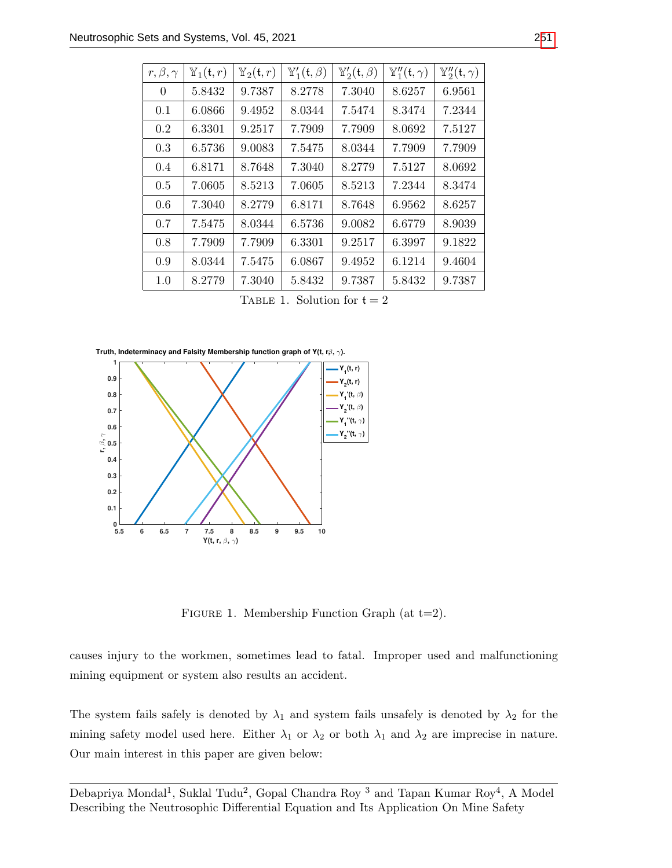| $r, \beta, \gamma$ | $\mathbb{Y}_1(\mathfrak{t},r)$ | $\mathbb{Y}_2(\mathfrak{t},r)$ | $\mathbb{Y}'_1(\mathfrak{t},\beta)$ | $\mathbb{Y}'_2(\mathfrak{t},\beta)$ | $\mathbb{Y}''_1(\mathfrak{t}, \gamma)$ | $\mathbb{Y}_2''(t,\gamma)$ |
|--------------------|--------------------------------|--------------------------------|-------------------------------------|-------------------------------------|----------------------------------------|----------------------------|
| $\Omega$           | 5.8432                         | 9.7387                         | 8.2778                              | 7.3040                              | 8.6257                                 | 6.9561                     |
| 0.1                | 6.0866                         | 9.4952                         | 8.0344                              | 7.5474                              | 8.3474                                 | 7.2344                     |
| 0.2                | 6.3301                         | 9.2517                         | 7.7909                              | 7.7909                              | 8.0692                                 | 7.5127                     |
| 0.3                | 6.5736                         | 9.0083                         | 7.5475                              | 8.0344                              | 7.7909                                 | 7.7909                     |
| 0.4                | 6.8171                         | 8.7648                         | 7.3040                              | 8.2779                              | 7.5127                                 | 8.0692                     |
| 0.5                | 7.0605                         | 8.5213                         | 7.0605                              | 8.5213                              | 7.2344                                 | 8.3474                     |
| 0.6                | 7.3040                         | 8.2779                         | 6.8171                              | 8.7648                              | 6.9562                                 | 8.6257                     |
| 0.7                | 7.5475                         | 8.0344                         | 6.5736                              | 9.0082                              | 6.6779                                 | 8.9039                     |
| 0.8                | 7.7909                         | 7.7909                         | 6.3301                              | 9.2517                              | 6.3997                                 | 9.1822                     |
| 0.9                | 8.0344                         | 7.5475                         | 6.0867                              | 9.4952                              | 6.1214                                 | 9.4604                     |
| 1.0                | 8.2779                         | 7.3040                         | 5.8432                              | 9.7387                              | 5.8432                                 | 9.7387                     |

TABLE 1. Solution for  $t = 2$ 

**Truth, Indeterminacy and Falsity Membership function graph of Y(t, r** $β$ **,**  $γ$ **).** 



FIGURE 1. Membership Function Graph (at  $t=2$ ).

causes injury to the workmen, sometimes lead to fatal. Improper used and malfunctioning mining equipment or system also results an accident.

The system fails safely is denoted by  $\lambda_1$  and system fails unsafely is denoted by  $\lambda_2$  for the mining safety model used here. Either  $\lambda_1$  or  $\lambda_2$  or both  $\lambda_1$  and  $\lambda_2$  are imprecise in nature. Our main interest in this paper are given below: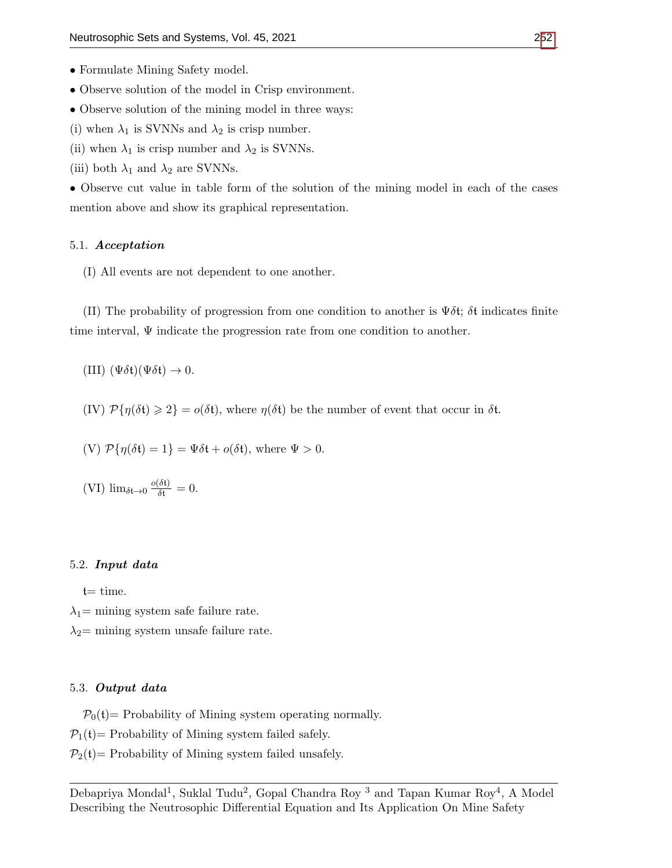- Observe solution of the model in Crisp environment.
- Observe solution of the mining model in three ways:
- (i) when  $\lambda_1$  is SVNNs and  $\lambda_2$  is crisp number.
- (ii) when  $\lambda_1$  is crisp number and  $\lambda_2$  is SVNNs.
- (iii) both  $\lambda_1$  and  $\lambda_2$  are SVNNs.

• Observe cut value in table form of the solution of the mining model in each of the cases mention above and show its graphical representation.

#### 5.1. Acceptation

(I) All events are not dependent to one another.

(II) The probability of progression from one condition to another is  $\Psi \delta t$ ;  $\delta t$  indicates finite time interval,  $\Psi$  indicate the progression rate from one condition to another.

(III)  $(\Psi \delta \mathfrak{t})(\Psi \delta \mathfrak{t}) \to 0.$ 

(IV)  $\mathcal{P}{\{\eta(\delta t) \geq 2\}} = o(\delta t)$ , where  $\eta(\delta t)$  be the number of event that occur in  $\delta t$ .

(V) 
$$
\mathcal{P}{\eta(\delta t) = 1} = \Psi \delta t + o(\delta t)
$$
, where  $\Psi > 0$ .

(VI) 
$$
\lim_{\delta t \to 0} \frac{o(\delta t)}{\delta t} = 0.
$$

#### 5.2. Input data

 $t=$  time.

 $\lambda_1$ = mining system safe failure rate.

 $\lambda_2$ = mining system unsafe failure rate.

#### 5.3. Output data

 $P_0(t)$  Probability of Mining system operating normally.

 $P_1(t)$  Probability of Mining system failed safely.

 $P_2(t)$  Probability of Mining system failed unsafely.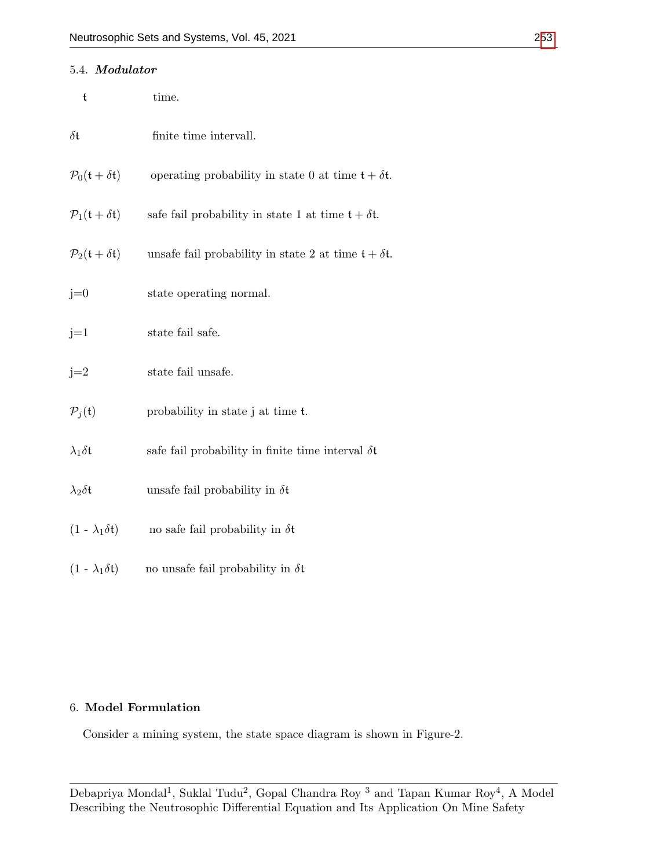| 5.4. Modulator                                   |                                                             |
|--------------------------------------------------|-------------------------------------------------------------|
| $\mathfrak t$                                    | time.                                                       |
| $\delta \mathfrak{t}$                            | finite time intervall.                                      |
| $\mathcal{P}_0(\mathfrak{t}+\delta\mathfrak{t})$ | operating probability in state 0 at time $t + \delta t$ .   |
| $P_1(t + \delta t)$                              | safe fail probability in state 1 at time $t + \delta t$ .   |
| $\mathcal{P}_2(\mathfrak{t}+\delta\mathfrak{t})$ | unsafe fail probability in state 2 at time $t + \delta t$ . |
| $j=0$                                            | state operating normal.                                     |
| $j=1$                                            | state fail safe.                                            |
| $j=2$                                            | state fail unsafe.                                          |
| $P_i(t)$                                         | probability in state j at time t.                           |
| $\lambda_1 \delta \mathfrak{t}$                  | safe fail probability in finite time interval $\delta t$    |
| $\lambda_2 \delta \mathfrak{t}$                  | unsafe fail probability in $\delta t$                       |
| $(1 - \lambda_1 \delta t)$                       | no safe fail probability in $\delta t$                      |
| $(1 - \lambda_1 \delta t)$                       | no unsafe fail probability in $\delta t$                    |

# 6. Model Formulation

Consider a mining system, the state space diagram is shown in Figure-2.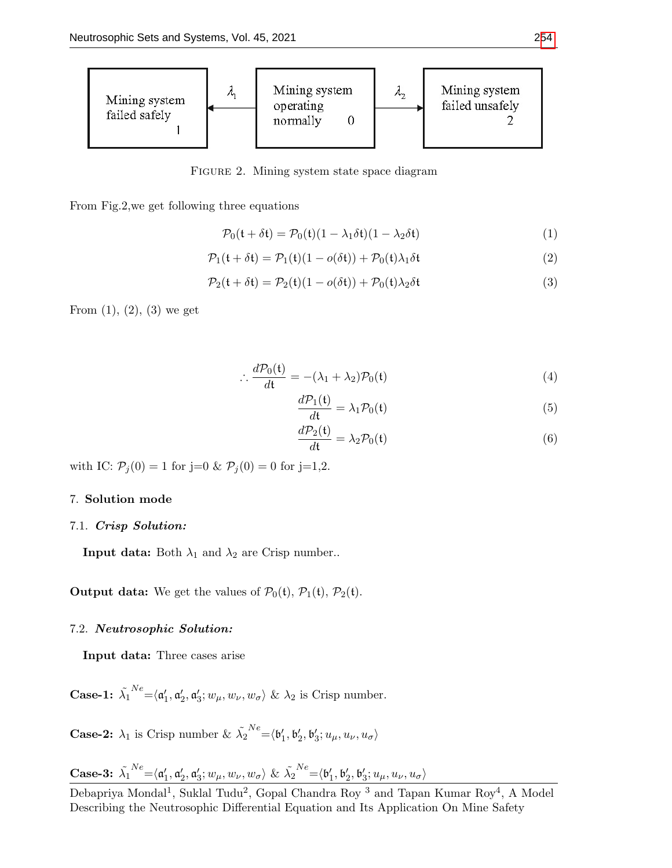

FIGURE 2. Mining system state space diagram

From Fig.2,we get following three equations

$$
\mathcal{P}_0(\mathfrak{t} + \delta \mathfrak{t}) = \mathcal{P}_0(\mathfrak{t})(1 - \lambda_1 \delta \mathfrak{t})(1 - \lambda_2 \delta \mathfrak{t}) \tag{1}
$$

$$
\mathcal{P}_1(\mathfrak{t} + \delta \mathfrak{t}) = \mathcal{P}_1(\mathfrak{t})(1 - o(\delta \mathfrak{t})) + \mathcal{P}_0(\mathfrak{t})\lambda_1 \delta \mathfrak{t}
$$
\n(2)

$$
\mathcal{P}_2(\mathfrak{t} + \delta \mathfrak{t}) = \mathcal{P}_2(\mathfrak{t})(1 - o(\delta \mathfrak{t})) + \mathcal{P}_0(\mathfrak{t})\lambda_2 \delta \mathfrak{t}
$$
\n(3)

From  $(1)$ ,  $(2)$ ,  $(3)$  we get

$$
\therefore \frac{d\mathcal{P}_0(\mathfrak{t})}{d\mathfrak{t}} = -(\lambda_1 + \lambda_2)\mathcal{P}_0(\mathfrak{t})
$$
\n(4)

$$
\frac{d\mathcal{P}_1(\mathfrak{t})}{d\mathfrak{t}} = \lambda_1 \mathcal{P}_0(\mathfrak{t})
$$
\n(5)

$$
\frac{d\mathcal{P}_2(\mathfrak{t})}{d\mathfrak{t}} = \lambda_2 \mathcal{P}_0(\mathfrak{t})
$$
\n(6)

with IC:  $P_j(0) = 1$  for j=0 &  $P_j(0) = 0$  for j=1,2.

#### 7. Solution mode

#### 7.1. Crisp Solution:

**Input data:** Both  $\lambda_1$  and  $\lambda_2$  are Crisp number..

**Output data:** We get the values of  $\mathcal{P}_0(\mathfrak{t}), \mathcal{P}_1(\mathfrak{t}), \mathcal{P}_2(\mathfrak{t}).$ 

#### 7.2. Neutrosophic Solution:

Input data: Three cases arise

Case-1:  $\tilde{\lambda_1}$  $X^{\textit{N}} = \langle \mathfrak{a}'_1, \mathfrak{a}'_2, \mathfrak{a}'_3; w_\mu, w_\nu, w_\sigma \rangle$  &  $\lambda_2$  is Crisp number.

**Case-2:**  $\lambda_1$  is Crisp number &  $\tilde{\lambda_2}$  $N e\mathop{=}\nolimits \langle {\mathfrak b}_1', {\mathfrak b}_2', {\mathfrak b}_3'; u_{\mu}, u_{\nu}, u_{\sigma} \rangle$ 

Case-3: 
$$
\tilde{\lambda}_1^{Ne} = \langle \mathfrak{a}'_1, \mathfrak{a}'_2, \mathfrak{a}'_3; w_\mu, w_\nu, w_\sigma \rangle \& \tilde{\lambda}_2^{Ne} = \langle \mathfrak{b}'_1, \mathfrak{b}'_2, \mathfrak{b}'_3; u_\mu, u_\nu, u_\sigma \rangle
$$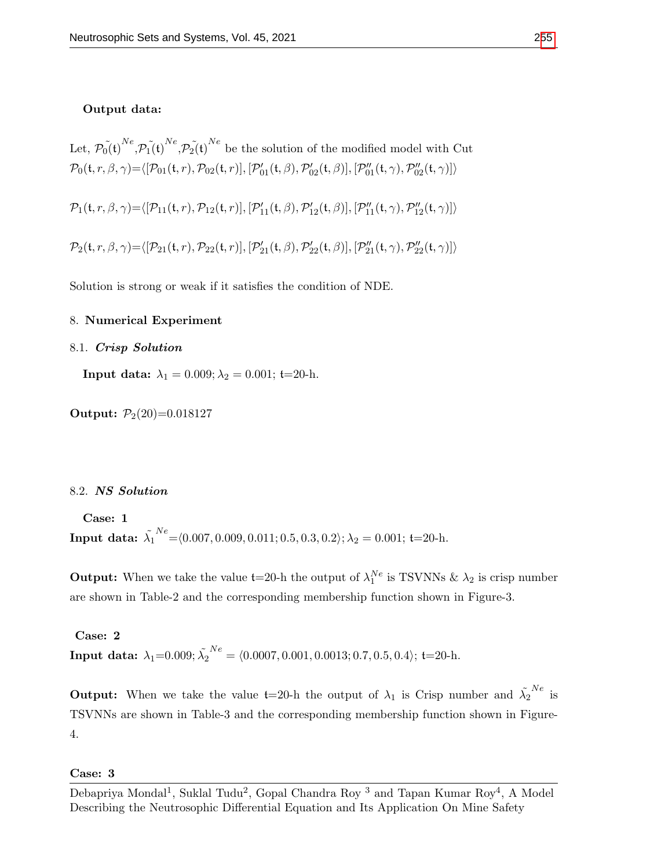#### Output data:

Let,  $\tilde{p_0(t)}^{Ne}$ ,  $\tilde{p_1(t)}^{Ne}$ ,  $\tilde{p_2(t)}^{Ne}$  be the solution of the modified model with Cut  $\mathcal{P}_0(\mathfrak{t}, r, \beta, \gamma) = \langle [\mathcal{P}_{01}(\mathfrak{t}, r), \mathcal{P}_{02}(\mathfrak{t}, r)], [\mathcal{P}_{01}'(\mathfrak{t}, \beta), \mathcal{P}_{02}'(\mathfrak{t}, \beta)], [\mathcal{P}_{01}''(\mathfrak{t}, \gamma), \mathcal{P}_{02}''(\mathfrak{t}, \gamma)] \rangle$  $\mathcal{P}_1(\mathfrak{t}, r, \beta, \gamma) = \langle [\mathcal{P}_{11}(\mathfrak{t}, r), \mathcal{P}_{12}(\mathfrak{t}, r)], [\mathcal{P}_{11}'(\mathfrak{t}, \beta), \mathcal{P}_{12}'(\mathfrak{t}, \beta)], [\mathcal{P}_{11}''(\mathfrak{t}, \gamma), \mathcal{P}_{12}''(\mathfrak{t}, \gamma)] \rangle$  $\mathcal{P}_2(\mathfrak{t}, r, \beta, \gamma) = \langle [\mathcal{P}_{21}(\mathfrak{t}, r), \mathcal{P}_{22}(\mathfrak{t}, r)], [\mathcal{P}_{21}'(\mathfrak{t}, \beta), \mathcal{P}_{22}'(\mathfrak{t}, \beta)], [\mathcal{P}_{21}''(\mathfrak{t}, \gamma), \mathcal{P}_{22}''(\mathfrak{t}, \gamma)] \rangle$ 

Solution is strong or weak if it satisfies the condition of NDE.

#### 8. Numerical Experiment

#### 8.1. Crisp Solution

Input data:  $\lambda_1 = 0.009; \lambda_2 = 0.001;$  t=20-h.

Output:  $P_2(20)=0.018127$ 

#### 8.2. NS Solution

Case: 1 Input data:  $\tilde{\lambda_1}$  $N_e^{Ne}$  =  $(0.007, 0.009, 0.011; 0.5, 0.3, 0.2); \lambda_2 = 0.001;$  t=20-h.

**Output:** When we take the value  $t=20$ -h the output of  $\lambda_1^{Ne}$  is TSVNNs &  $\lambda_2$  is crisp number are shown in Table-2 and the corresponding membership function shown in Figure-3.

Case: 2 Input data:  $\lambda_1{=}0.009; \tilde{\lambda_2}$  $N_e^N = \langle 0.0007, 0.001, 0.0013; 0.7, 0.5, 0.4 \rangle;$  t=20-h.

**Output:** When we take the value  $t=20$ -h the output of  $\lambda_1$  is Crisp number and  $\tilde{\lambda_2}^{Ne}$  is TSVNNs are shown in Table-3 and the corresponding membership function shown in Figure-4.

# Case: 3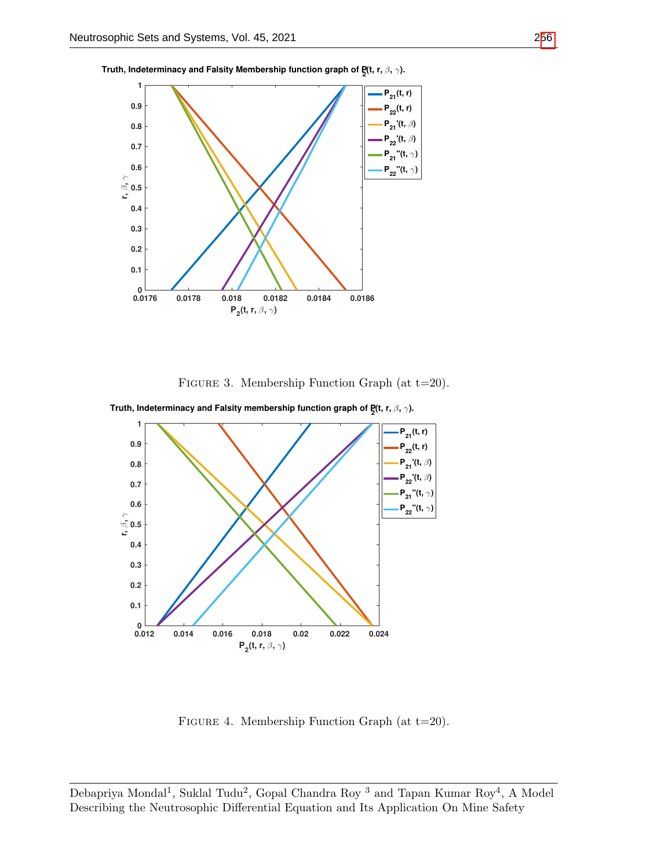

**Truth, Indeterminacy and Falsity Membership function graph of P<sup>2</sup> (t, r,** β**,** γ**).**





**Truth, Indeterminacy and Falsity membership function graph of P<sup>2</sup> (t, r,** β**,** γ**).**

Figure 4. Membership Function Graph (at t=20).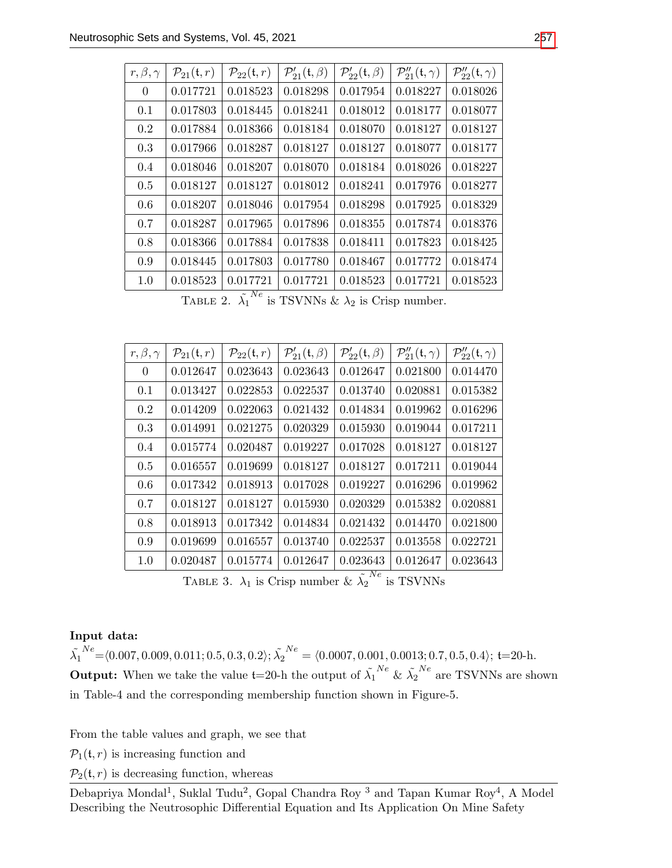| $r, \beta, \gamma$ | $\mathcal{P}_{21}(\mathfrak{t},r)$ | $\mathcal{P}_{22}(\mathfrak{t},r)$ | $\mathcal{P}'_{21}(\mathfrak{t},\beta)$ | $\mathcal{P}'_{22}(\mathfrak{t},\beta)$ | $\mathcal{P}_2''_1(\mathfrak{t},\gamma)$ | $\mathcal{P}_{22}''(t,\gamma)$ |
|--------------------|------------------------------------|------------------------------------|-----------------------------------------|-----------------------------------------|------------------------------------------|--------------------------------|
| $\overline{0}$     | 0.017721                           | 0.018523                           | 0.018298                                | 0.017954                                | 0.018227                                 | 0.018026                       |
| 0.1                | 0.017803                           | 0.018445                           | 0.018241                                | 0.018012                                | 0.018177                                 | 0.018077                       |
| 0.2                | 0.017884                           | 0.018366                           | 0.018184                                | 0.018070                                | 0.018127                                 | 0.018127                       |
| 0.3                | 0.017966                           | 0.018287                           | 0.018127                                | 0.018127                                | 0.018077                                 | 0.018177                       |
| 0.4                | 0.018046                           | 0.018207                           | 0.018070                                | 0.018184                                | 0.018026                                 | 0.018227                       |
| 0.5                | 0.018127                           | 0.018127                           | 0.018012                                | 0.018241                                | 0.017976                                 | 0.018277                       |
| 0.6                | 0.018207                           | 0.018046                           | 0.017954                                | 0.018298                                | 0.017925                                 | 0.018329                       |
| 0.7                | 0.018287                           | 0.017965                           | 0.017896                                | 0.018355                                | 0.017874                                 | 0.018376                       |
| 0.8                | 0.018366                           | 0.017884                           | 0.017838                                | 0.018411                                | 0.017823                                 | 0.018425                       |
| 0.9                | 0.018445                           | 0.017803                           | 0.017780                                | 0.018467                                | 0.017772                                 | 0.018474                       |
| 1.0                | 0.018523                           | 0.017721                           | 0.017721                                | 0.018523                                | 0.017721                                 | 0.018523                       |

TABLE 2.  $\tilde{\lambda_1}^{Ne}$  is TSVNNs &  $\lambda_2$  is Crisp number.

| $r, \beta, \gamma$ | $\mathcal{P}_{21}(\mathfrak{t},r)$ | $\mathcal{P}_{22}(\mathfrak{t},r)$ | $\mathcal{P}'_{21}(\mathfrak{t},\beta)$ | $\mathcal{P}'_{22}(\mathfrak{t},\beta)$ | $\mathcal{P}_2''_1(\mathfrak{t},\gamma)$ | $\mathcal{P}_{22}''(t,\gamma)$ |
|--------------------|------------------------------------|------------------------------------|-----------------------------------------|-----------------------------------------|------------------------------------------|--------------------------------|
| $\overline{0}$     | 0.012647                           | 0.023643                           | 0.023643                                | 0.012647                                | 0.021800                                 | 0.014470                       |
| 0.1                | 0.013427                           | 0.022853                           | 0.022537                                | 0.013740                                | 0.020881                                 | 0.015382                       |
| $0.2\,$            | 0.014209                           | 0.022063                           | 0.021432                                | 0.014834                                | 0.019962                                 | 0.016296                       |
| 0.3                | 0.014991                           | 0.021275                           | 0.020329                                | 0.015930                                | 0.019044                                 | 0.017211                       |
| 0.4                | 0.015774                           | 0.020487                           | 0.019227                                | 0.017028                                | 0.018127                                 | 0.018127                       |
| 0.5                | 0.016557                           | 0.019699                           | 0.018127                                | 0.018127                                | 0.017211                                 | 0.019044                       |
| 0.6                | 0.017342                           | 0.018913                           | 0.017028                                | 0.019227                                | 0.016296                                 | 0.019962                       |
| 0.7                | 0.018127                           | 0.018127                           | 0.015930                                | 0.020329                                | 0.015382                                 | 0.020881                       |
| 0.8                | 0.018913                           | 0.017342                           | 0.014834                                | 0.021432                                | 0.014470                                 | 0.021800                       |
| 0.9                | 0.019699                           | 0.016557                           | 0.013740                                | 0.022537                                | 0.013558                                 | 0.022721                       |
| 1.0                | 0.020487                           | 0.015774                           | 0.012647                                | 0.023643                                | 0.012647                                 | 0.023643                       |

TABLE 3.  $\lambda_1$  is Crisp number &  $\tilde{\lambda_2}^{Ne}$  is TSVNNs

# Input data:

 $\tilde{\lambda_1}$  $N^{e}$  =  $\langle 0.007, 0.009, 0.011; 0.5, 0.3, 0.2 \rangle; \tilde{\lambda_{2}}$  $N_e = \langle 0.0007, 0.001, 0.0013; 0.7, 0.5, 0.4 \rangle;$  t=20-h. **Output:** When we take the value  $t=20$ -h the output of  $\tilde{\lambda_1}^{Ne}$  &  $\tilde{\lambda_2}^{Ne}$  are TSVNNs are shown in Table-4 and the corresponding membership function shown in Figure-5.

From the table values and graph, we see that

 $\mathcal{P}_1(\mathfrak{t}, r)$  is increasing function and

 $\mathcal{P}_2(\mathfrak{t}, r)$  is decreasing function, whereas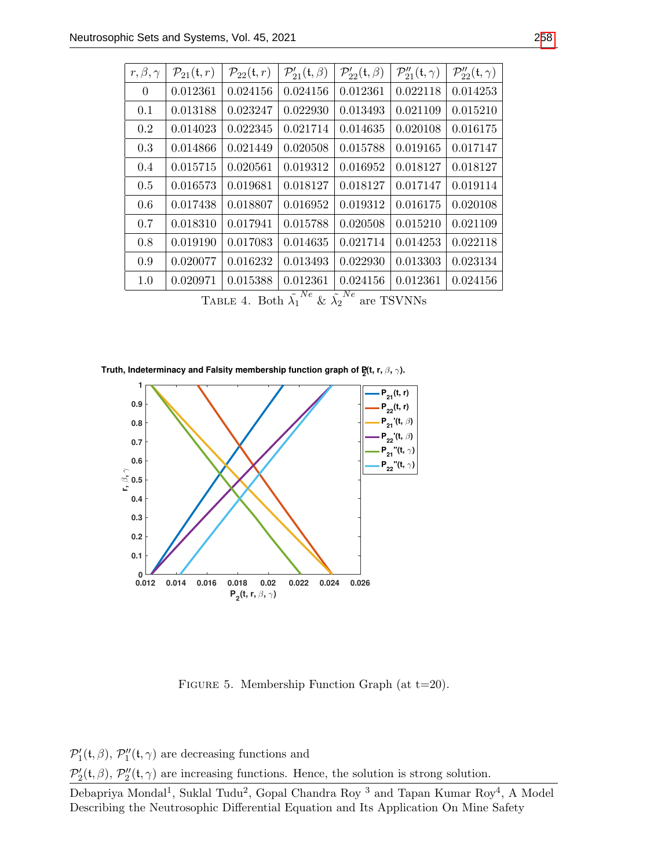| $r, \beta, \gamma$                                                               | $\mathcal{P}_{21}(\mathfrak{t},r)$ | $\mathcal{P}_{22}(\mathfrak{t},r)$ | $\mathcal{P}'_{21}(\mathfrak{t},\beta)$ | $\mathcal{P}'_{22}(\mathfrak{t},\beta)$ | $\mathcal{P}_2''_1(\mathfrak{t},\gamma)$ | $\mathcal{P}_{22}''(t,\gamma)$ |
|----------------------------------------------------------------------------------|------------------------------------|------------------------------------|-----------------------------------------|-----------------------------------------|------------------------------------------|--------------------------------|
| $\overline{0}$                                                                   | 0.012361                           | 0.024156                           | 0.024156                                | 0.012361                                | 0.022118                                 | 0.014253                       |
| 0.1                                                                              | 0.013188                           | 0.023247                           | 0.022930                                | 0.013493                                | 0.021109                                 | 0.015210                       |
| 0.2                                                                              | 0.014023                           | 0.022345                           | 0.021714                                | 0.014635                                | 0.020108                                 | 0.016175                       |
| 0.3                                                                              | 0.014866                           | 0.021449                           | 0.020508                                | 0.015788                                | 0.019165                                 | 0.017147                       |
| 0.4                                                                              | 0.015715                           | 0.020561                           | 0.019312                                | 0.016952                                | 0.018127                                 | 0.018127                       |
| 0.5                                                                              | 0.016573                           | 0.019681                           | 0.018127                                | 0.018127                                | 0.017147                                 | 0.019114                       |
| 0.6                                                                              | 0.017438                           | 0.018807                           | 0.016952                                | 0.019312                                | 0.016175                                 | 0.020108                       |
| 0.7                                                                              | 0.018310                           | 0.017941                           | 0.015788                                | 0.020508                                | 0.015210                                 | 0.021109                       |
| 0.8                                                                              | 0.019190                           | 0.017083                           | 0.014635                                | 0.021714                                | 0.014253                                 | 0.022118                       |
| 0.9                                                                              | 0.020077                           | 0.016232                           | 0.013493                                | 0.022930                                | 0.013303                                 | 0.023134                       |
| 1.0                                                                              | 0.020971                           | 0.015388                           | 0.012361                                | 0.024156                                | 0.012361                                 | 0.024156                       |
| TABLE 4 $R_{\text{th}} \tilde{X}^{Ne}$ $e_{\text{th}} \tilde{Y}^{Ne}$ and TCVAIN |                                    |                                    |                                         |                                         |                                          |                                |

TABLE 4. Both  $\tilde{\lambda_1}$  $N^e$  &  $\tilde{\lambda_2}$ are TSVNNs

**Truth, Indeterminacy and Falsity membership function graph of P<sup>2</sup> (t, r,** β**,** γ**).**



Figure 5. Membership Function Graph (at t=20).

 $\mathcal{P}'_1(\mathfrak{t}, \beta)$ ,  $\mathcal{P}''_1(\mathfrak{t}, \gamma)$  are decreasing functions and

 $\mathcal{P}'_2(\mathfrak{t}, \beta)$ ,  $\mathcal{P}''_2(\mathfrak{t}, \gamma)$  are increasing functions. Hence, the solution is strong solution.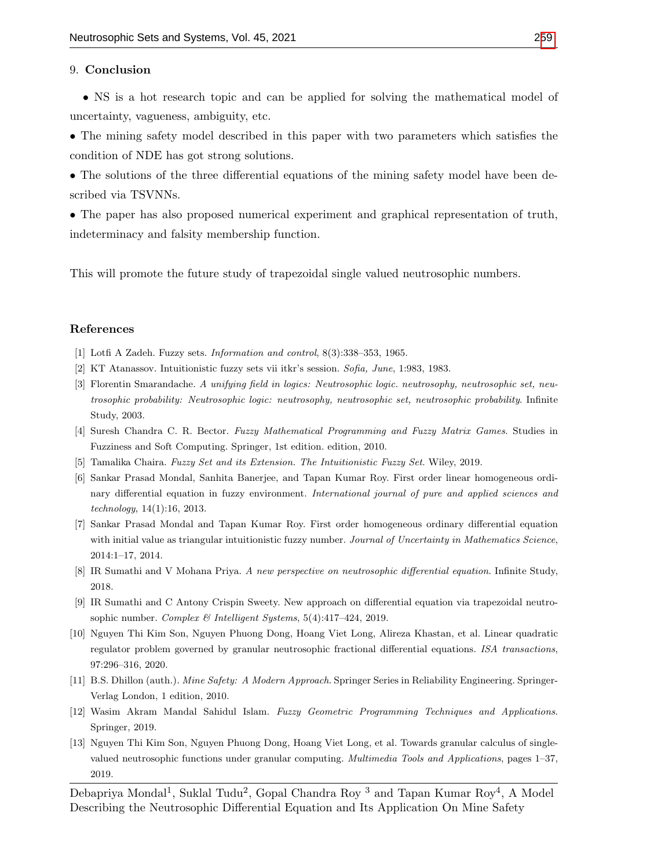#### 9. Conclusion

• NS is a hot research topic and can be applied for solving the mathematical model of uncertainty, vagueness, ambiguity, etc.

• The mining safety model described in this paper with two parameters which satisfies the condition of NDE has got strong solutions.

• The solutions of the three differential equations of the mining safety model have been described via TSVNNs.

• The paper has also proposed numerical experiment and graphical representation of truth, indeterminacy and falsity membership function.

This will promote the future study of trapezoidal single valued neutrosophic numbers.

#### References

- <span id="page-14-0"></span>[1] Lotfi A Zadeh. Fuzzy sets. Information and control, 8(3):338–353, 1965.
- <span id="page-14-1"></span>[2] KT Atanassov. Intuitionistic fuzzy sets vii itkr's session. Sofia, June, 1:983, 1983.
- <span id="page-14-2"></span>[3] Florentin Smarandache. A unifying field in logics: Neutrosophic logic. neutrosophy, neutrosophic set, neutrosophic probability: Neutrosophic logic: neutrosophy, neutrosophic set, neutrosophic probability. Infinite Study, 2003.
- <span id="page-14-3"></span>[4] Suresh Chandra C. R. Bector. Fuzzy Mathematical Programming and Fuzzy Matrix Games. Studies in Fuzziness and Soft Computing. Springer, 1st edition. edition, 2010.
- <span id="page-14-4"></span>[5] Tamalika Chaira. Fuzzy Set and its Extension. The Intuitionistic Fuzzy Set. Wiley, 2019.
- <span id="page-14-5"></span>[6] Sankar Prasad Mondal, Sanhita Banerjee, and Tapan Kumar Roy. First order linear homogeneous ordinary differential equation in fuzzy environment. International journal of pure and applied sciences and technology, 14(1):16, 2013.
- <span id="page-14-6"></span>[7] Sankar Prasad Mondal and Tapan Kumar Roy. First order homogeneous ordinary differential equation with initial value as triangular intuitionistic fuzzy number. Journal of Uncertainty in Mathematics Science, 2014:1–17, 2014.
- <span id="page-14-7"></span>[8] IR Sumathi and V Mohana Priya. A new perspective on neutrosophic differential equation. Infinite Study, 2018.
- <span id="page-14-11"></span>[9] IR Sumathi and C Antony Crispin Sweety. New approach on differential equation via trapezoidal neutrosophic number. Complex & Intelligent Systems, 5(4):417–424, 2019.
- <span id="page-14-8"></span>[10] Nguyen Thi Kim Son, Nguyen Phuong Dong, Hoang Viet Long, Alireza Khastan, et al. Linear quadratic regulator problem governed by granular neutrosophic fractional differential equations. ISA transactions, 97:296–316, 2020.
- <span id="page-14-9"></span>[11] B.S. Dhillon (auth.). Mine Safety: A Modern Approach. Springer Series in Reliability Engineering. Springer-Verlag London, 1 edition, 2010.
- <span id="page-14-10"></span>[12] Wasim Akram Mandal Sahidul Islam. Fuzzy Geometric Programming Techniques and Applications. Springer, 2019.
- <span id="page-14-12"></span>[13] Nguyen Thi Kim Son, Nguyen Phuong Dong, Hoang Viet Long, et al. Towards granular calculus of singlevalued neutrosophic functions under granular computing. Multimedia Tools and Applications, pages 1–37, 2019.